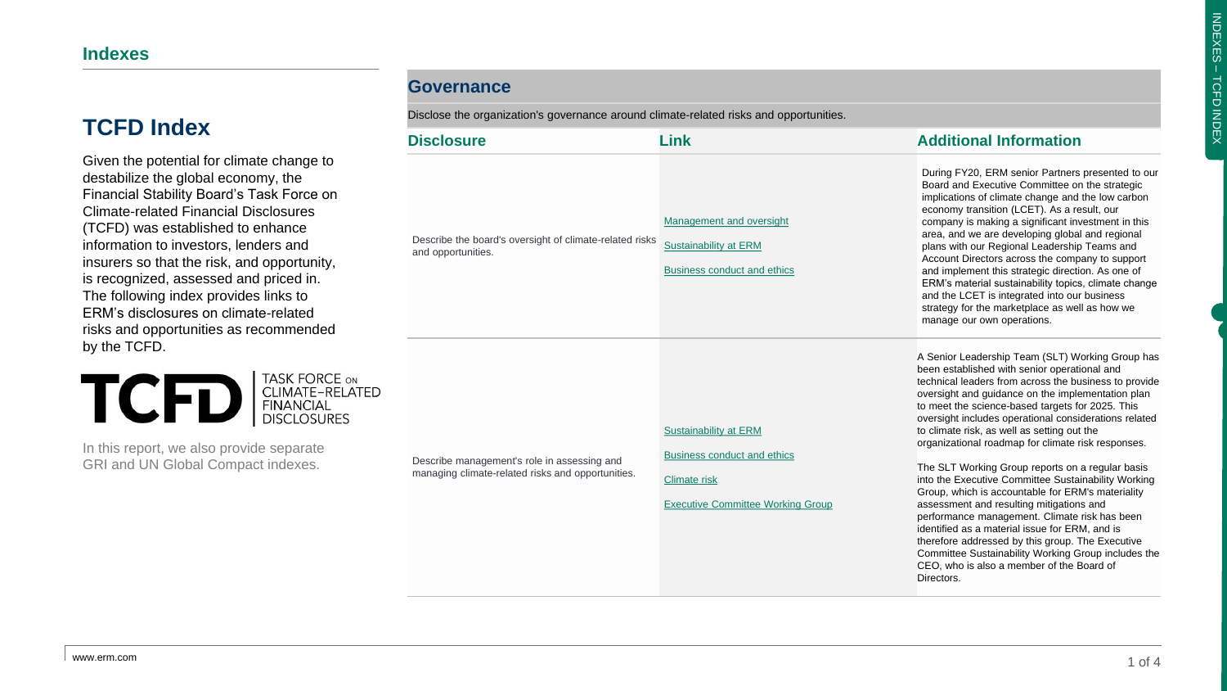Given the potential for climate change to destabilize the global economy, the Financial Stability Board's Task Force on Climate-related Financial Disclosures (TCFD) was established to enhance information to investors, lenders and insurers so that the risk, and opportunity, is recognized, assessed and priced in. The following index provides links to ERM's disclosures on climate-related risks and opportunities as recommended by the TCFD.



In this report, we also provide separate GRI and UN Global Compact indexes.

#### **Governance**

Disclose the organization's governance around climate-related risks and opportunities.

| <b>Disclosure</b>                                                                                | Link                                                                                                                           | <b>Additional Information</b>                                                                                                                                                                                                                                                                                                                                                                                                                                                                                                                                                                                                                                                                                                                                                                                                                                                                                         |
|--------------------------------------------------------------------------------------------------|--------------------------------------------------------------------------------------------------------------------------------|-----------------------------------------------------------------------------------------------------------------------------------------------------------------------------------------------------------------------------------------------------------------------------------------------------------------------------------------------------------------------------------------------------------------------------------------------------------------------------------------------------------------------------------------------------------------------------------------------------------------------------------------------------------------------------------------------------------------------------------------------------------------------------------------------------------------------------------------------------------------------------------------------------------------------|
| Describe the board's oversight of climate-related risks<br>and opportunities.                    | Management and oversight<br>Sustainability at ERM<br><b>Business conduct and ethics</b>                                        | During FY20, ERM senior Partners presented to our<br>Board and Executive Committee on the strategic<br>implications of climate change and the low carbon<br>economy transition (LCET). As a result, our<br>company is making a significant investment in this<br>area, and we are developing global and regional<br>plans with our Regional Leadership Teams and<br>Account Directors across the company to support<br>and implement this strategic direction. As one of<br>ERM's material sustainability topics, climate change<br>and the LCET is integrated into our business<br>strategy for the marketplace as well as how we<br>manage our own operations.                                                                                                                                                                                                                                                      |
| Describe management's role in assessing and<br>managing climate-related risks and opportunities. | Sustainability at ERM<br><b>Business conduct and ethics</b><br><b>Climate risk</b><br><b>Executive Committee Working Group</b> | A Senior Leadership Team (SLT) Working Group has<br>been established with senior operational and<br>technical leaders from across the business to provide<br>oversight and guidance on the implementation plan<br>to meet the science-based targets for 2025. This<br>oversight includes operational considerations related<br>to climate risk, as well as setting out the<br>organizational roadmap for climate risk responses.<br>The SLT Working Group reports on a regular basis<br>into the Executive Committee Sustainability Working<br>Group, which is accountable for ERM's materiality<br>assessment and resulting mitigations and<br>performance management. Climate risk has been<br>identified as a material issue for ERM, and is<br>therefore addressed by this group. The Executive<br>Committee Sustainability Working Group includes the<br>CEO, who is also a member of the Board of<br>Directors. |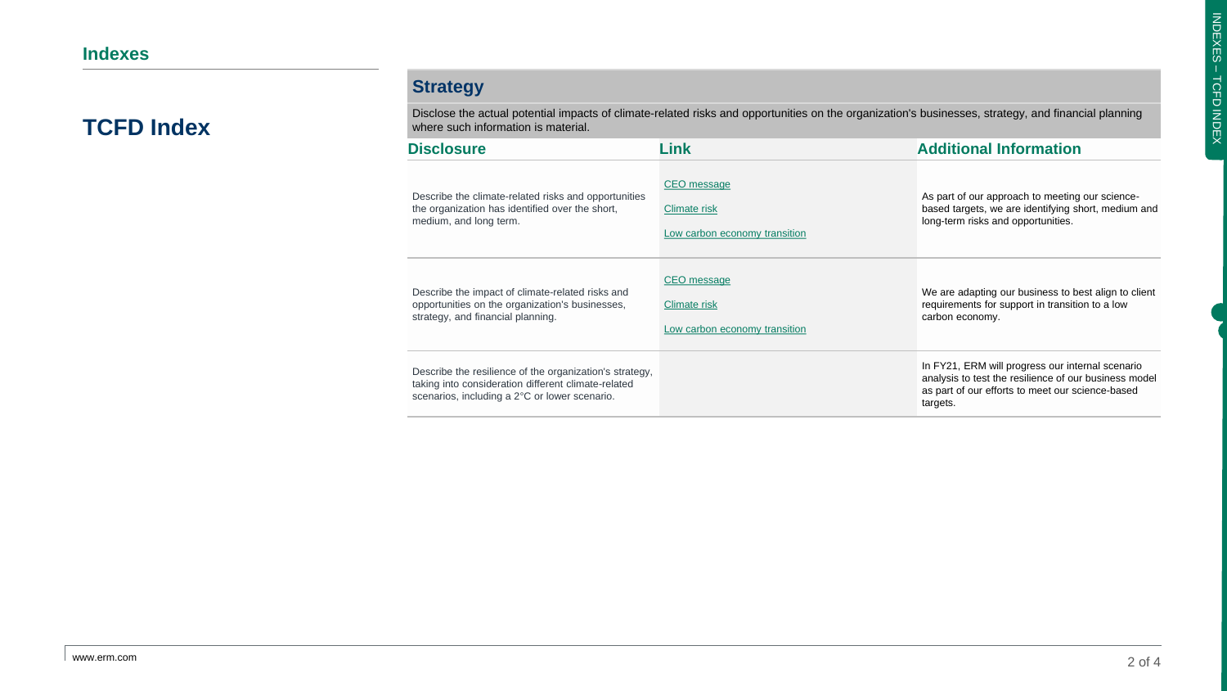### **Strategy**

Disclose the actual potential impacts of climate-related risks and opportunities on the organization's businesses, strategy, and financial planning where such information is material.

| <b>Disclosure</b>                                                                                                                                               | Link                          | <b>Additional Information</b>                                                                                                                                             |
|-----------------------------------------------------------------------------------------------------------------------------------------------------------------|-------------------------------|---------------------------------------------------------------------------------------------------------------------------------------------------------------------------|
| Describe the climate-related risks and opportunities                                                                                                            | CEO message                   | As part of our approach to meeting our science-                                                                                                                           |
| the organization has identified over the short,                                                                                                                 | Climate risk                  | based targets, we are identifying short, medium and                                                                                                                       |
| medium, and long term.                                                                                                                                          | Low carbon economy transition | long-term risks and opportunities.                                                                                                                                        |
| Describe the impact of climate-related risks and                                                                                                                | CEO message                   | We are adapting our business to best align to client                                                                                                                      |
| opportunities on the organization's businesses,                                                                                                                 | Climate risk                  | requirements for support in transition to a low                                                                                                                           |
| strategy, and financial planning.                                                                                                                               | Low carbon economy transition | carbon economy.                                                                                                                                                           |
| Describe the resilience of the organization's strategy,<br>taking into consideration different climate-related<br>scenarios, including a 2°C or lower scenario. |                               | In FY21, ERM will progress our internal scenario<br>analysis to test the resilience of our business model<br>as part of our efforts to meet our science-based<br>targets. |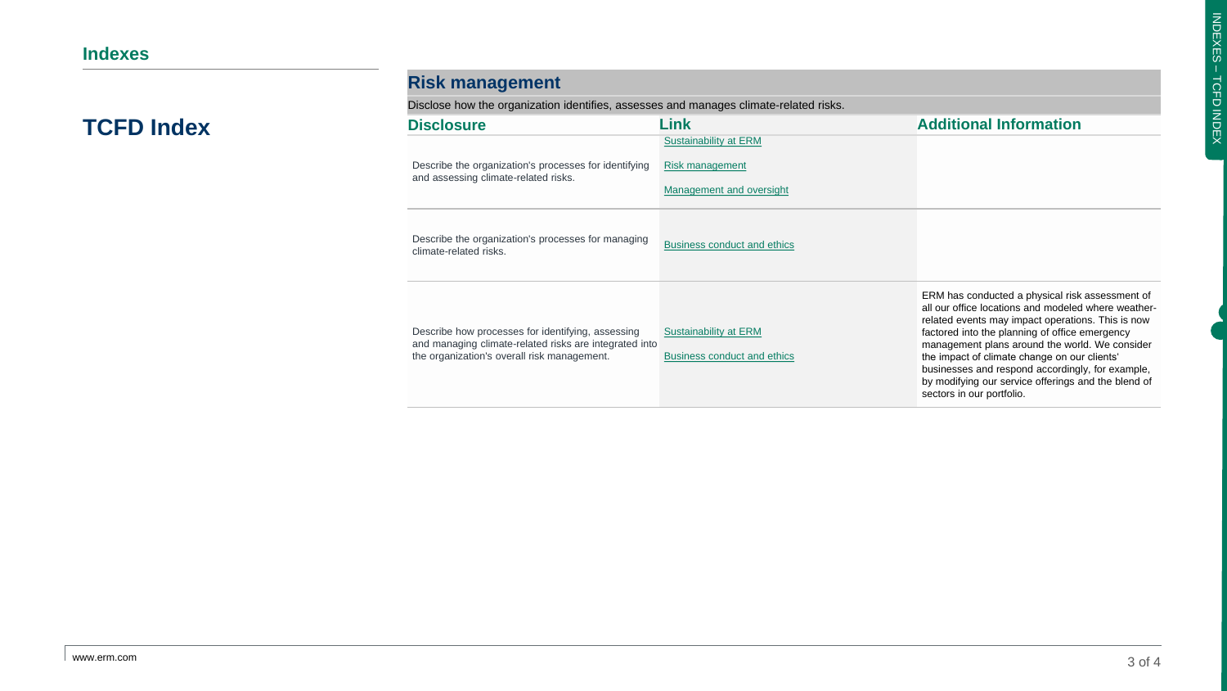| <b>Risk management</b> |  |
|------------------------|--|
|                        |  |

Disclose how the organization identifies, assesses and manages climate-related risks.

| <b>Disclosure</b>                                                                                                                                          | Link                                                                 | <b>Additional Information</b>                                                                                                                                                                                                                                                                                                                                                                                                                           |
|------------------------------------------------------------------------------------------------------------------------------------------------------------|----------------------------------------------------------------------|---------------------------------------------------------------------------------------------------------------------------------------------------------------------------------------------------------------------------------------------------------------------------------------------------------------------------------------------------------------------------------------------------------------------------------------------------------|
| Describe the organization's processes for identifying<br>and assessing climate-related risks.                                                              | Sustainability at ERM<br>Risk management<br>Management and oversight |                                                                                                                                                                                                                                                                                                                                                                                                                                                         |
| Describe the organization's processes for managing<br>climate-related risks.                                                                               | <b>Business conduct and ethics</b>                                   |                                                                                                                                                                                                                                                                                                                                                                                                                                                         |
| Describe how processes for identifying, assessing<br>and managing climate-related risks are integrated into<br>the organization's overall risk management. | Sustainability at ERM<br><b>Business conduct and ethics</b>          | ERM has conducted a physical risk assessment of<br>all our office locations and modeled where weather-<br>related events may impact operations. This is now<br>factored into the planning of office emergency<br>management plans around the world. We consider<br>the impact of climate change on our clients'<br>businesses and respond accordingly, for example,<br>by modifying our service offerings and the blend of<br>sectors in our portfolio. |